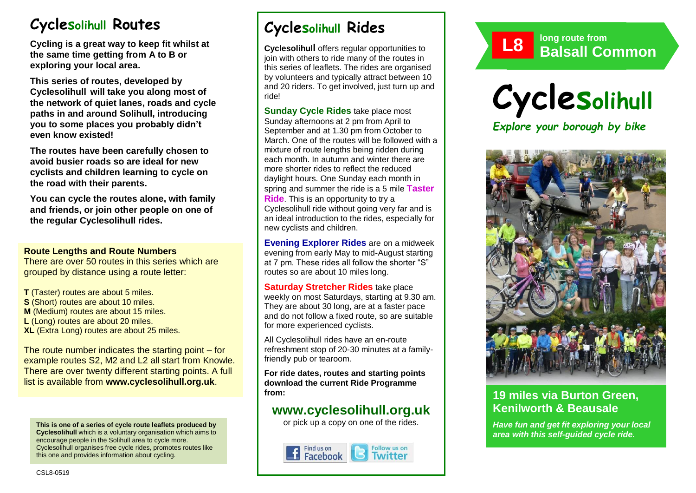# **Cyclesolihull Routes**

**Cycling is a great way to keep fit whilst at the same time getting from A to B or exploring your local area.** 

**This series of routes, developed by Cyclesolihull will take you along most of the network of quiet lanes, roads and cycle paths in and around Solihull, introducing you to some places you probably didn't even know existed!**

**The routes have been carefully chosen to avoid busier roads so are ideal for new cyclists and children learning to cycle on the road with their parents.** 

**You can cycle the routes alone, with family and friends, or join other people on one of the regular Cyclesolihull rides.**

#### **Route Lengths and Route Numbers**

There are over 50 routes in this series which are grouped by distance using a route letter:

**T** (Taster) routes are about 5 miles. **S** (Short) routes are about 10 miles. **M** (Medium) routes are about 15 miles. **L** (Long) routes are about 20 miles. **XL** (Extra Long) routes are about 25 miles.

The route number indicates the starting point – for example routes S2, M2 and L2 all start from Knowle. There are over twenty different starting points. A full list is available from **www.cyclesolihull.org.uk**.

**This is one of a series of cycle route leaflets produced by Cyclesolihull** which is a voluntary organisation which aims to encourage people in the Solihull area to cycle more. Cyclesolihull organises free cycle rides, promotes routes like this one and provides information about cycling.

# **Cyclesolihull Rides**

**Cyclesolihull** offers regular opportunities to join with others to ride many of the routes in this series of leaflets. The rides are organised by volunteers and typically attract between 10 and 20 riders. To get involved, just turn up and ride!

**Sunday Cycle Rides** take place most Sunday afternoons at 2 pm from April to September and at 1.30 pm from October to March. One of the routes will be followed with a mixture of route lengths being ridden during each month. In autumn and winter there are more shorter rides to reflect the reduced daylight hours. One Sunday each month in spring and summer the ride is a 5 mile **Taster Ride**. This is an opportunity to try a Cyclesolihull ride without going very far and is an ideal introduction to the rides, especially for new cyclists and children.

**Evening Explorer Rides** are on a midweek evening from early May to mid-August starting at 7 pm. These rides all follow the shorter "S" routes so are about 10 miles long.

**Saturday Stretcher Rides** take place weekly on most Saturdays, starting at 9.30 am. They are about 30 long, are at a faster pace and do not follow a fixed route, so are suitable for more experienced cyclists.

All Cyclesolihull rides have an en-route refreshment stop of 20-30 minutes at a familyfriendly pub or tearoom.

**For ride dates, routes and starting points download the current Ride Programme from:** 

## **www.cyclesolihull.org.uk**

or pick up a copy on one of the rides.









## **19 miles via Burton Green, Kenilworth & Beausale**

*Have fun and get fit exploring your local area with this self-guided cycle ride.*